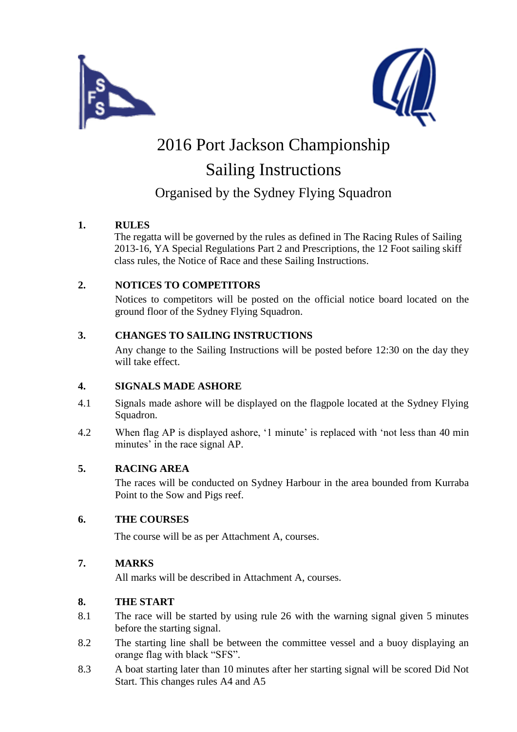



# 2016 Port Jackson Championship Sailing Instructions

### Organised by the Sydney Flying Squadron

#### **1. RULES**

The regatta will be governed by the rules as defined in The Racing Rules of Sailing 2013-16, YA Special Regulations Part 2 and Prescriptions, the 12 Foot sailing skiff class rules, the Notice of Race and these Sailing Instructions.

#### **2. NOTICES TO COMPETITORS**

Notices to competitors will be posted on the official notice board located on the ground floor of the Sydney Flying Squadron.

#### **3. CHANGES TO SAILING INSTRUCTIONS**

Any change to the Sailing Instructions will be posted before 12:30 on the day they will take effect.

#### **4. SIGNALS MADE ASHORE**

- 4.1 Signals made ashore will be displayed on the flagpole located at the Sydney Flying Squadron.
- 4.2 When flag AP is displayed ashore, '1 minute' is replaced with 'not less than 40 min minutes' in the race signal AP.

#### **5. RACING AREA**

The races will be conducted on Sydney Harbour in the area bounded from Kurraba Point to the Sow and Pigs reef.

#### **6. THE COURSES**

The course will be as per Attachment A, courses.

#### **7. MARKS**

All marks will be described in Attachment A, courses.

#### **8. THE START**

- 8.1 The race will be started by using rule 26 with the warning signal given 5 minutes before the starting signal.
- 8.2 The starting line shall be between the committee vessel and a buoy displaying an orange flag with black "SFS".
- 8.3 A boat starting later than 10 minutes after her starting signal will be scored Did Not Start. This changes rules A4 and A5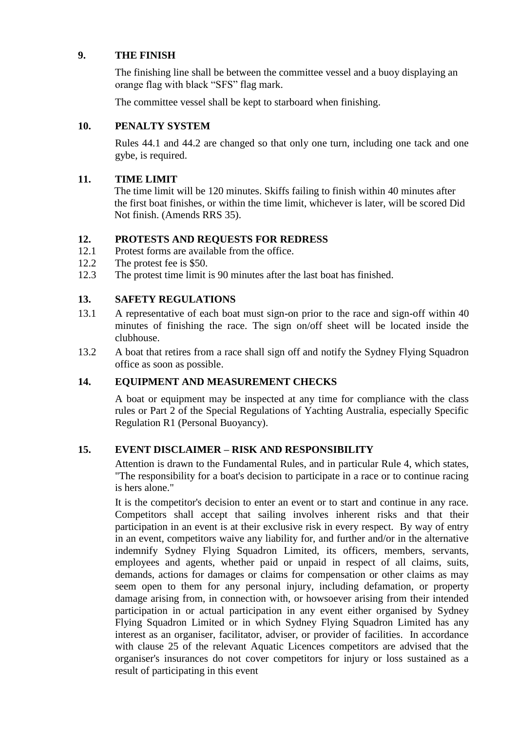#### **9. THE FINISH**

The finishing line shall be between the committee vessel and a buoy displaying an orange flag with black "SFS" flag mark.

The committee vessel shall be kept to starboard when finishing.

#### **10. PENALTY SYSTEM**

Rules 44.1 and 44.2 are changed so that only one turn, including one tack and one gybe, is required.

#### **11. TIME LIMIT**

The time limit will be 120 minutes. Skiffs failing to finish within 40 minutes after the first boat finishes, or within the time limit, whichever is later, will be scored Did Not finish. (Amends RRS 35).

#### **12. PROTESTS AND REQUESTS FOR REDRESS**

- 12.1 Protest forms are available from the office.
- 12.2 The protest fee is \$50.
- 12.3 The protest time limit is 90 minutes after the last boat has finished.

#### **13. SAFETY REGULATIONS**

- 13.1 A representative of each boat must sign-on prior to the race and sign-off within 40 minutes of finishing the race. The sign on/off sheet will be located inside the clubhouse.
- 13.2 A boat that retires from a race shall sign off and notify the Sydney Flying Squadron office as soon as possible.

#### **14. EQUIPMENT AND MEASUREMENT CHECKS**

A boat or equipment may be inspected at any time for compliance with the class rules or Part 2 of the Special Regulations of Yachting Australia, especially Specific Regulation R1 (Personal Buoyancy).

#### **15. EVENT DISCLAIMER – RISK AND RESPONSIBILITY**

Attention is drawn to the Fundamental Rules, and in particular Rule 4, which states, "The responsibility for a boat's decision to participate in a race or to continue racing is hers alone."

It is the competitor's decision to enter an event or to start and continue in any race. Competitors shall accept that sailing involves inherent risks and that their participation in an event is at their exclusive risk in every respect. By way of entry in an event, competitors waive any liability for, and further and/or in the alternative indemnify Sydney Flying Squadron Limited, its officers, members, servants, employees and agents, whether paid or unpaid in respect of all claims, suits, demands, actions for damages or claims for compensation or other claims as may seem open to them for any personal injury, including defamation, or property damage arising from, in connection with, or howsoever arising from their intended participation in or actual participation in any event either organised by Sydney Flying Squadron Limited or in which Sydney Flying Squadron Limited has any interest as an organiser, facilitator, adviser, or provider of facilities. In accordance with clause 25 of the relevant Aquatic Licences competitors are advised that the organiser's insurances do not cover competitors for injury or loss sustained as a result of participating in this event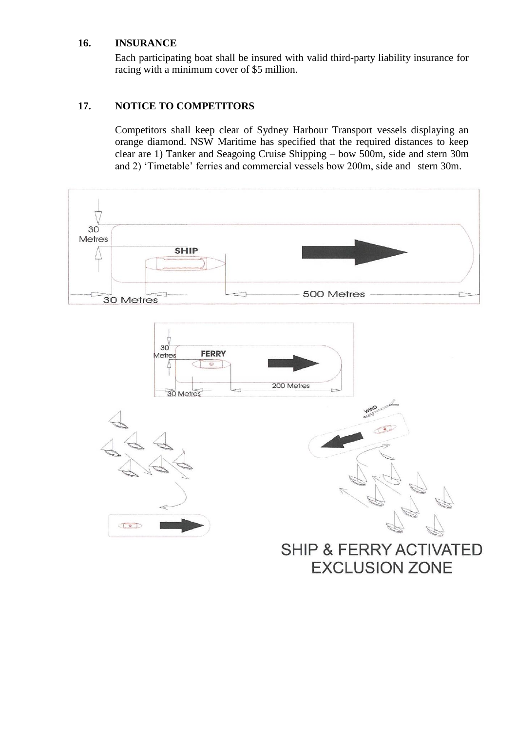#### **16. INSURANCE**

Each participating boat shall be insured with valid third-party liability insurance for racing with a minimum cover of \$5 million.

#### **17. NOTICE TO COMPETITORS**

Competitors shall keep clear of Sydney Harbour Transport vessels displaying an orange diamond. NSW Maritime has specified that the required distances to keep clear are 1) Tanker and Seagoing Cruise Shipping – bow 500m, side and stern 30m and 2) 'Timetable' ferries and commercial vessels bow 200m, side and stern 30m.

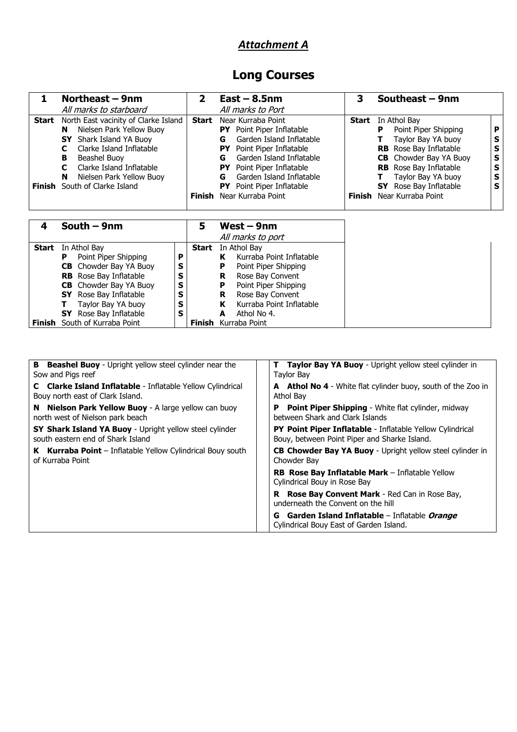### *Attachment A*

## **Long Courses**

|       | Northeast – 9nm                                                                                                                                                                                                       | $\mathbf{2}$ | $East - 8.5nm$                                                                                                                                                                                                             | 3            | Southeast - 9nm                                                                                                                                                                          |                            |
|-------|-----------------------------------------------------------------------------------------------------------------------------------------------------------------------------------------------------------------------|--------------|----------------------------------------------------------------------------------------------------------------------------------------------------------------------------------------------------------------------------|--------------|------------------------------------------------------------------------------------------------------------------------------------------------------------------------------------------|----------------------------|
|       | All marks to starboard                                                                                                                                                                                                |              | All marks to Port                                                                                                                                                                                                          |              |                                                                                                                                                                                          |                            |
| Start | North East vacinity of Clarke Island<br>Nielsen Park Yellow Buoy<br>N<br><b>SY</b> Shark Island YA Buoy<br>Clarke Island Inflatable<br>Beashel Buoy<br>в<br>Clarke Island Inflatable<br>C<br>Nielsen Park Yellow Buoy | <b>Start</b> | Near Kurraba Point<br>Point Piper Inflatable<br>PY .<br>Garden Island Inflatable<br>G<br>Point Piper Inflatable<br>PY.<br>Garden Island Inflatable<br>G<br>Point Piper Inflatable<br>PY .<br>Garden Island Inflatable<br>G | <b>Start</b> | In Athol Bay<br>Point Piper Shipping<br>P<br>Taylor Bay YA buoy<br><b>RB</b> Rose Bay Inflatable<br><b>CB</b> Chowder Bay YA Buoy<br><b>RB</b> Rose Bay Inflatable<br>Taylor Bay YA buoy | P<br>s<br>s<br>s<br>S<br>s |
|       | N<br>Finish South of Clarke Island                                                                                                                                                                                    | Finish       | <b>PY</b> Point Piper Inflatable<br>Near Kurraba Point                                                                                                                                                                     | Finish       | <b>SY</b> Rose Bay Inflatable<br>Near Kurraba Point                                                                                                                                      | S                          |
|       | South — 9nm                                                                                                                                                                                                           |              | West — 9nm                                                                                                                                                                                                                 |              |                                                                                                                                                                                          |                            |

|        | South $-$ 9nm                 |   | 5      | West $-$ 9nm                  |
|--------|-------------------------------|---|--------|-------------------------------|
|        |                               |   |        | All marks to port             |
|        | <b>Start</b> In Athol Bay     |   | Start  | In Athol Bay                  |
|        | Point Piper Shipping<br>P     | P |        | Kurraba Point Inflatable      |
|        | <b>CB</b> Chowder Bay YA Buoy | s |        | Point Piper Shipping<br>Р     |
|        | <b>RB</b> Rose Bay Inflatable | s |        | Rose Bay Convent<br>R         |
|        | <b>CB</b> Chowder Bay YA Buoy | s |        | Point Piper Shipping<br>Р     |
|        | <b>SY</b> Rose Bay Inflatable | s |        | Rose Bay Convent<br>R         |
|        | Taylor Bay YA buoy            | s |        | Kurraba Point Inflatable<br>к |
|        | <b>SY</b> Rose Bay Inflatable | s |        | Athol No 4.                   |
| Finish | South of Kurraba Point        |   | Finish | Kurraba Point                 |

| В<br><b>Beashel Buoy</b> - Upright yellow steel cylinder near the<br>Sow and Pigs reef         | <b>Taylor Bay YA Buoy - Upright yellow steel cylinder in</b><br>Tavlor Bav                                       |  |  |
|------------------------------------------------------------------------------------------------|------------------------------------------------------------------------------------------------------------------|--|--|
| C Clarke Island Inflatable - Inflatable Yellow Cylindrical<br>Bouy north east of Clark Island. | <b>A</b> Athol No 4 - White flat cylinder buoy, south of the Zoo in<br>Athol Bay                                 |  |  |
| N Nielson Park Yellow Buoy - A large yellow can buoy<br>north west of Nielson park beach       | <b>Point Piper Shipping - White flat cylinder, midway</b><br>Р<br>between Shark and Clark Islands                |  |  |
| SY Shark Island YA Buoy - Upright yellow steel cylinder<br>south eastern end of Shark Island   | <b>PY Point Piper Inflatable - Inflatable Yellow Cylindrical</b><br>Bouy, between Point Piper and Sharke Island. |  |  |
| K Kurraba Point - Inflatable Yellow Cylindrical Bouy south<br>of Kurraba Point                 | <b>CB Chowder Bay YA Buoy - Upright yellow steel cylinder in</b><br>Chowder Bay                                  |  |  |
|                                                                                                | <b>RB Rose Bay Inflatable Mark</b> – Inflatable Yellow<br>Cylindrical Bouy in Rose Bay                           |  |  |
|                                                                                                | <b>R</b> Rose Bay Convent Mark - Red Can in Rose Bay,<br>underneath the Convent on the hill                      |  |  |
|                                                                                                | <b>G</b> Garden Island Inflatable – Inflatable <i>Orange</i><br>Cylindrical Bouy East of Garden Island.          |  |  |